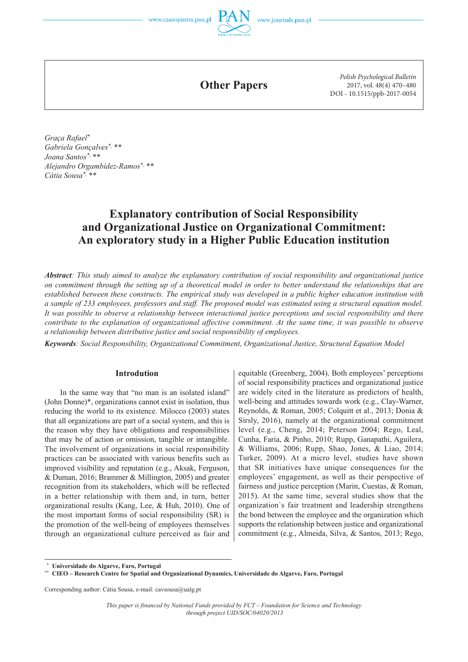

**Other Papers**

*Polish Psychological Bulletin* 2017, vol. 48(4) 470–480 DOI - 10.1515/ppb-2017-0054

*Graça Rafael\* Gabriela Gonçalves\*, \*\* Joana Santos\*, \*\* Alejandro Orgambídez-Ramos\*, \*\* Cátia Sousa\*, \*\**

# **Explanatory contribution of Social Responsibility and Organizational Justice on Organizational Commitment: An exploratory study in a Higher Public Education institution**

*Abstract: This study aimed to analyze the explanatory contribution of social responsibility and organizational justice on commitment through the setting up of a theoretical model in order to better understand the relationships that are established between these constructs. The empirical study was developed in a public higher education institution with a sample of 233 employees, professors and staff. The proposed model was estimated using a structural equation model. It was possible to observe a relationship between interactional justice perceptions and social responsibility and there contribute to the explanation of organizational affective commitment. At the same time, it was possible to observe a relationship between distributive justice and social responsibility of employees.*

*Keywords: Social Responsibility, Organizational Commitment, Organizational Justice, Structural Equation Model* 

### **Introdution**

In the same way that "no man is an isolated island" (John Donne)\*, organizations cannot exist in isolation, thus reducing the world to its existence. Milocco (2003) states that all organizations are part of a social system, and this is the reason why they have obligations and responsibilities that may be of action or omission, tangible or intangible. The involvement of organizations in social responsibility practices can be associated with various benefits such as improved visibility and reputation (e.g., Aksak, Ferguson, & Duman, 2016; Brammer & Millington, 2005) and greater recognition from its stakeholders, which will be reflected in a better relationship with them and, in turn, better organizational results (Kang, Lee, & Huh, 2010). One of the most important forms of social responsibility (SR) is the promotion of the well-being of employees themselves through an organizational culture perceived as fair and equitable (Greenberg, 2004). Both employees' perceptions of social responsibility practices and organizational justice are widely cited in the literature as predictors of health, well-being and attitudes towards work (e.g., Clay-Warner, Reynolds, & Roman, 2005; Colquitt et al., 2013; Donia & Sirsly, 2016), namely at the organizational commitment level (e.g., Cheng, 2014; Peterson 2004; Rego, Leal, Cunha, Faria, & Pinho, 2010; Rupp, Ganapathi, Aguilera, & Williams, 2006; Rupp, Shao, Jones, & Liao, 2014; Turker, 2009). At a micro level, studies have shown that SR initiatives have unique consequences for the employees' engagement, as well as their perspective of fairness and justice perception (Marin, Cuestas, & Roman, 2015). At the same time, several studies show that the organization`s fair treatment and leadership strengthens the bond between the employee and the organization which supports the relationship between justice and organizational commitment (e.g., Almeida, Silva, & Santos, 2013; Rego,

 **\* Universidade do Algarve, Faro, Portugal**

Corresponding author: Cátia Sousa, e-mail: cavsousa@ualg.pt

**<sup>\*\*</sup> CIEO – Research Centre for Spatial and Organizational Dynamics, Universidade do Algarve, Faro, Portugal**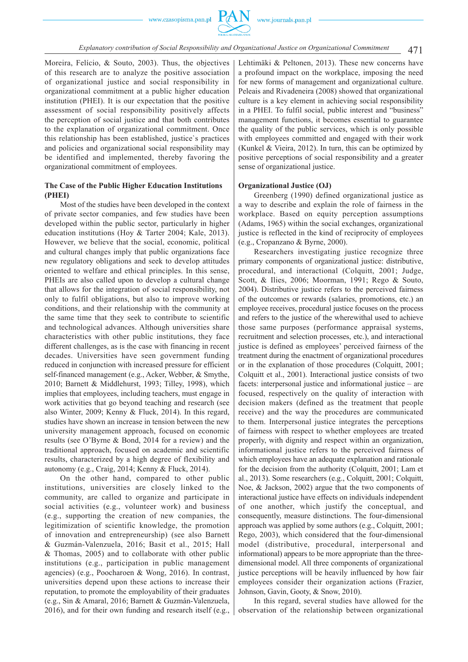

Moreira, Felício, & Souto, 2003). Thus, the objectives of this research are to analyze the positive association of organizational justice and social responsibility in organizational commitment at a public higher education institution (PHEI). It is our expectation that the positive assessment of social responsibility positively affects the perception of social justice and that both contributes to the explanation of organizational commitment. Once this relationship has been established, justice`s practices and policies and organizational social responsibility may be identified and implemented, thereby favoring the organizational commitment of employees.

# **The Case of the Public Higher Education Institutions (PHEI)**

Most of the studies have been developed in the context of private sector companies, and few studies have been developed within the public sector, particularly in higher education institutions (Hoy & Tarter 2004; Kale, 2013). However, we believe that the social, economic, political and cultural changes imply that public organizations face new regulatory obligations and seek to develop attitudes oriented to welfare and ethical principles. In this sense, PHEIs are also called upon to develop a cultural change that allows for the integration of social responsibility, not only to fulfil obligations, but also to improve working conditions, and their relationship with the community at the same time that they seek to contribute to scientific and technological advances. Although universities share characteristics with other public institutions, they face different challenges, as is the case with financing in recent decades. Universities have seen government funding reduced in conjunction with increased pressure for efficient self-financed management (e.g., Acker, Webber, & Smythe, 2010; Barnett & Middlehurst, 1993; Tilley, 1998), which implies that employees, including teachers, must engage in work activities that go beyond teaching and research (see also Winter, 2009; Kenny & Fluck, 2014). In this regard, studies have shown an increase in tension between the new university management approach, focused on economic results (see O'Byrne & Bond, 2014 for a review) and the traditional approach, focused on academic and scientific results, characterized by a high degree of flexibility and autonomy (e.g., Craig, 2014; Kenny & Fluck, 2014).

On the other hand, compared to other public institutions, universities are closely linked to the community, are called to organize and participate in social activities (e.g., volunteer work) and business (e.g., supporting the creation of new companies, the legitimization of scientific knowledge, the promotion of innovation and entrepreneurship) (see also Barnett & Guzmán-Valenzuela, 2016; Basit et al., 2015; Hall & Thomas, 2005) and to collaborate with other public institutions (e.g., participation in public management agencies) (e.g., Poocharoen & Wong, 2016). In contrast, universities depend upon these actions to increase their reputation, to promote the employability of their graduates (e.g., Sin & Amaral, 2016; Barnett & Guzmán-Valenzuela, 2016), and for their own funding and research itself (e.g.,

Lehtimäki & Peltonen, 2013). These new concerns have a profound impact on the workplace, imposing the need for new forms of management and organizational culture. Peleais and Rivadeneira (2008) showed that organizational culture is a key element in achieving social responsibility in a PHEI. To fulfil social, public interest and "business" management functions, it becomes essential to guarantee the quality of the public services, which is only possible with employees committed and engaged with their work (Kunkel & Vieira, 2012). In turn, this can be optimized by positive perceptions of social responsibility and a greater sense of organizational justice.

#### **Organizational Justice (OJ)**

Greenberg (1990) defined organizational justice as a way to describe and explain the role of fairness in the workplace. Based on equity perception assumptions (Adams, 1965) within the social exchanges, organizational justice is reflected in the kind of reciprocity of employees (e.g., Cropanzano & Byrne, 2000).

Researchers investigating justice recognize three primary components of organizational justice: distributive, procedural, and interactional (Colquitt, 2001; Judge, Scott, & Ilies, 2006; Moorman, 1991; Rego & Souto, 2004). Distributive justice refers to the perceived fairness of the outcomes or rewards (salaries, promotions, etc.) an employee receives, procedural justice focuses on the process and refers to the justice of the wherewithal used to achieve those same purposes (performance appraisal systems, recruitment and selection processes, etc.), and interactional justice is defined as employees' perceived fairness of the treatment during the enactment of organizational procedures or in the explanation of those procedures (Colquitt, 2001; Colquitt et al., 2001). Interactional justice consists of two facets: interpersonal justice and informational justice – are focused, respectively on the quality of interaction with decision makers (defined as the treatment that people receive) and the way the procedures are communicated to them. Interpersonal justice integrates the perceptions of fairness with respect to whether employees are treated properly, with dignity and respect within an organization, informational justice refers to the perceived fairness of which employees have an adequate explanation and rationale for the decision from the authority (Colquitt, 2001; Lam et al., 2013). Some researchers (e.g., Colquitt, 2001; Colquitt, Noe, & Jackson, 2002) argue that the two components of interactional justice have effects on individuals independent of one another, which justify the conceptual, and consequently, measure distinctions. The four-dimensional approach was applied by some authors (e.g., Colquitt, 2001; Rego, 2003), which considered that the four-dimensional model (distributive, procedural, interpersonal and informational) appears to be more appropriate than the threedimensional model. All three components of organizational justice perceptions will be heavily influenced by how fair employees consider their organization actions (Frazier, Johnson, Gavin, Gooty, & Snow, 2010).

In this regard, several studies have allowed for the observation of the relationship between organizational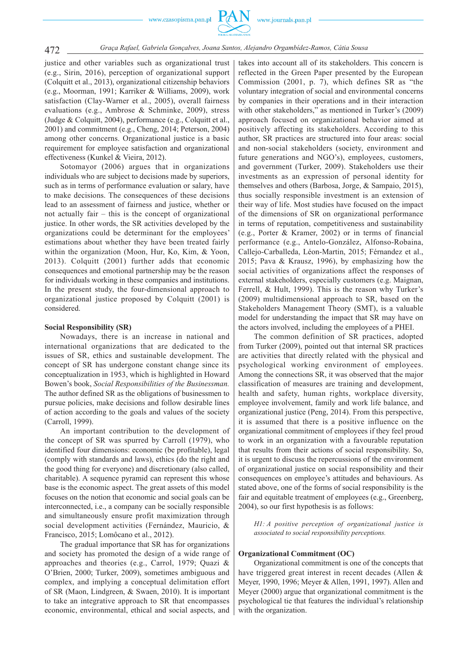

justice and other variables such as organizational trust (e.g., Sirin, 2016), perception of organizational support (Colquitt et al., 2013), organizational citizenship behaviors (e.g., Moorman, 1991; Karriker & Williams, 2009), work satisfaction (Clay-Warner et al., 2005), overall fairness evaluations (e.g., Ambrose & Schminke, 2009), stress (Judge & Colquitt, 2004), performance (e.g., Colquitt et al., 2001) and commitment (e.g., Cheng, 2014; Peterson, 2004) among other concerns. Organizational justice is a basic requirement for employee satisfaction and organizational effectiveness (Kunkel & Vieira, 2012).

Sotomayor (2006) argues that in organizations individuals who are subject to decisions made by superiors, such as in terms of performance evaluation or salary, have to make decisions. The consequences of these decisions lead to an assessment of fairness and justice, whether or not actually fair – this is the concept of organizational justice. In other words, the SR activities developed by the organizations could be determinant for the employees' estimations about whether they have been treated fairly within the organization (Moon, Hur, Ko, Kim, & Yoon, 2013). Colquitt (2001) further adds that economic consequences and emotional partnership may be the reason for individuals working in these companies and institutions. In the present study, the four-dimensional approach to organizational justice proposed by Colquitt (2001) is considered.

#### **Social Responsibility (SR)**

Nowadays, there is an increase in national and international organizations that are dedicated to the issues of SR, ethics and sustainable development. The concept of SR has undergone constant change since its conceptualization in 1953, which is highlighted in Howard Bowen's book, *Social Responsibilities of the Businessman.* The author defined SR as the obligations of businessmen to pursue policies, make decisions and follow desirable lines of action according to the goals and values of the society (Carroll, 1999).

An important contribution to the development of the concept of SR was spurred by Carroll (1979), who identified four dimensions: economic (be profitable), legal (comply with standards and laws), ethics (do the right and the good thing for everyone) and discretionary (also called, charitable). A sequence pyramid can represent this whose base is the economic aspect. The great assets of this model focuses on the notion that economic and social goals can be interconnected, i.e., a company can be socially responsible and simultaneously ensure profit maximization through social development activities (Fernández, Mauricio, & Francisco, 2015; Lomôcano et al., 2012).

The gradual importance that SR has for organizations and society has promoted the design of a wide range of approaches and theories (e.g., Carrol, 1979; Quazi & O'Brien, 2000; Turker, 2009), sometimes ambiguous and complex, and implying a conceptual delimitation effort of SR (Maon, Lindgreen, & Swaen, 2010). It is important to take an integrative approach to SR that encompasses economic, environmental, ethical and social aspects, and

takes into account all of its stakeholders. This concern is reflected in the Green Paper presented by the European Commission (2001, p. 7), which defines SR as "the voluntary integration of social and environmental concerns by companies in their operations and in their interaction with other stakeholders," as mentioned in Turker's (2009) approach focused on organizational behavior aimed at positively affecting its stakeholders. According to this author, SR practices are structured into four areas: social and non-social stakeholders (society, environment and future generations and NGO's), employees, customers, and government (Turker, 2009). Stakeholders use their investments as an expression of personal identity for themselves and others (Barbosa, Jorge, & Sampaio, 2015), thus socially responsible investment is an extension of their way of life. Most studies have focused on the impact of the dimensions of SR on organizational performance in terms of reputation, competitiveness and sustainability (e.g., Porter & Kramer, 2002) or in terms of financial performance (e.g., Antelo-González, Alfonso-Robaina, Callejo-Carballeda, Léon-Martin, 2015; Férnandez et al., 2015; Pava & Krausz, 1996), by emphasizing how the social activities of organizations affect the responses of external stakeholders, especially customers (e.g. Maignan, Ferrell, & Hult, 1999). This is the reason why Turker's (2009) multidimensional approach to SR, based on the Stakeholders Management Theory (SMT), is a valuable model for understanding the impact that SR may have on the actors involved, including the employees of a PHEI.

The common definition of SR practices, adopted from Turker (2009), pointed out that internal SR practices are activities that directly related with the physical and psychological working environment of employees. Among the connections SR, it was observed that the major classification of measures are training and development, health and safety, human rights, workplace diversity, employee involvement, family and work life balance, and organizational justice (Peng, 2014). From this perspective, it is assumed that there is a positive influence on the organizational commitment of employees if they feel proud to work in an organization with a favourable reputation that results from their actions of social responsibility. So, it is urgent to discuss the repercussions of the environment of organizational justice on social responsibility and their consequences on employee's attitudes and behaviours. As stated above, one of the forms of social responsibility is the fair and equitable treatment of employees (e.g., Greenberg, 2004), so our first hypothesis is as follows:

*H1: A positive perception of organizational justice is associated to social responsibility perceptions.*

### **Organizational Commitment (OC)**

Organizational commitment is one of the concepts that have triggered great interest in recent decades (Allen & Meyer, 1990, 1996; Meyer & Allen, 1991, 1997). Allen and Meyer (2000) argue that organizational commitment is the psychological tie that features the individual's relationship with the organization.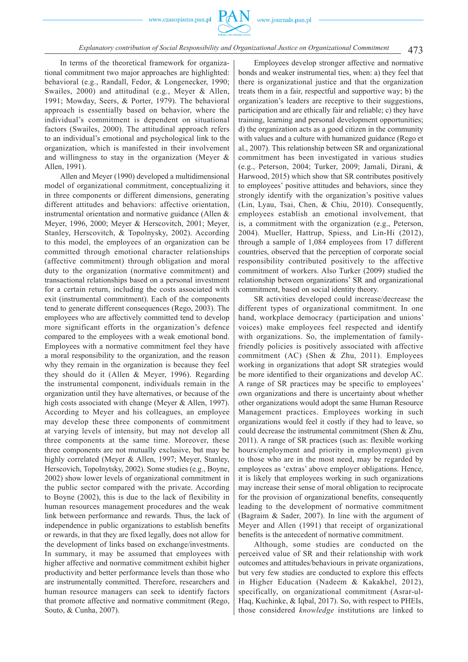

# 473 *Explanatory contribution of Social Responsibility and Organizational Justice on Organizational Commitment*

In terms of the theoretical framework for organizational commitment two major approaches are highlighted: behavioral (e.g., Randall, Fedor, & Longenecker, 1990; Swailes, 2000) and attitudinal (e.g., Meyer & Allen, 1991; Mowday, Seers, & Porter, 1979). The behavioral approach is essentially based on behavior, where the individual's commitment is dependent on situational factors (Swailes, 2000). The attitudinal approach refers to an individual's emotional and psychological link to the organization, which is manifested in their involvement and willingness to stay in the organization (Meyer & Allen, 1991).

Allen and Meyer (1990) developed a multidimensional model of organizational commitment, conceptualizing it in three components or different dimensions, generating different attitudes and behaviors: affective orientation, instrumental orientation and normative guidance (Allen & Meyer, 1996, 2000; Meyer & Herscovitch, 2001; Meyer, Stanley, Herscovitch, & Topolnysky, 2002). According to this model, the employees of an organization can be committed through emotional character relationships (affective commitment) through obligation and moral duty to the organization (normative commitment) and transactional relationships based on a personal investment for a certain return, including the costs associated with exit (instrumental commitment). Each of the components tend to generate different consequences (Rego, 2003). The employees who are affectively committed tend to develop more significant efforts in the organization's defence compared to the employees with a weak emotional bond. Employees with a normative commitment feel they have a moral responsibility to the organization, and the reason why they remain in the organization is because they feel they should do it (Allen & Meyer, 1996). Regarding the instrumental component, individuals remain in the organization until they have alternatives, or because of the high costs associated with change (Meyer & Allen, 1997). According to Meyer and his colleagues, an employee may develop these three components of commitment at varying levels of intensity, but may not develop all three components at the same time. Moreover, these three components are not mutually exclusive, but may be highly correlated (Meyer & Allen, 1997; Meyer, Stanley, Herscovich, Topolnytsky, 2002). Some studies (e.g., Boyne, 2002) show lower levels of organizational commitment in the public sector compared with the private. According to Boyne (2002), this is due to the lack of flexibility in human resources management procedures and the weak link between performance and rewards. Thus, the lack of independence in public organizations to establish benefits or rewards, in that they are fixed legally, does not allow for the development of links based on exchange/investments. In summary, it may be assumed that employees with higher affective and normative commitment exhibit higher productivity and better performance levels than those who are instrumentally committed. Therefore, researchers and human resource managers can seek to identify factors that promote affective and normative commitment (Rego, Souto, & Cunha, 2007).

Employees develop stronger affective and normative bonds and weaker instrumental ties, when: a) they feel that there is organizational justice and that the organization treats them in a fair, respectful and supportive way; b) the organization's leaders are receptive to their suggestions, participation and are ethically fair and reliable; c) they have training, learning and personal development opportunities; d) the organization acts as a good citizen in the community with values and a culture with humanized guidance (Rego et al., 2007). This relationship between SR and organizational commitment has been investigated in various studies (e.g., Peterson, 2004; Turker, 2009; Jamali, Dirani, & Harwood, 2015) which show that SR contributes positively to employees' positive attitudes and behaviors, since they strongly identify with the organization's positive values (Lin, Lyau, Tsai, Chen, & Chiu, 2010). Consequently, employees establish an emotional involvement, that is, a commitment with the organization (e.g., Peterson, 2004). Mueller, Hattrup, Spiess, and Lin-Hi (2012), through a sample of 1,084 employees from 17 different countries, observed that the perception of corporate social responsibility contributed positively to the affective commitment of workers. Also Turker (2009) studied the relationship between organizations' SR and organizational commitment, based on social identity theory.

SR activities developed could increase/decrease the different types of organizational commitment. In one hand, workplace democracy (participation and unions' voices) make employees feel respected and identify with organizations. So, the implementation of familyfriendly policies is positively associated with affective commitment (AC) (Shen & Zhu, 2011). Employees working in organizations that adopt SR strategies would be more identified to their organizations and develop AC. A range of SR practices may be specific to employees' own organizations and there is uncertainty about whether other organizations would adopt the same Human Resource Management practices. Employees working in such organizations would feel it costly if they had to leave, so could decrease the instrumental commitment (Shen & Zhu, 2011). A range of SR practices (such as: flexible working hours/employment and priority in employment) given to those who are in the most need, may be regarded by employees as 'extras' above employer obligations. Hence, it is likely that employees working in such organizations may increase their sense of moral obligation to reciprocate for the provision of organizational benefits, consequently leading to the development of normative commitment (Bagraim & Sader, 2007). In line with the argument of Meyer and Allen (1991) that receipt of organizational benefits is the antecedent of normative commitment.

Although, some studies are conducted on the perceived value of SR and their relationship with work outcomes and attitudes/behaviours in private organizations, but very few studies are conducted to explore this effects in Higher Education (Nadeem & Kakakhel, 2012), specifically, on organizational commitment (Asrar-ul-Haq, Kuchinke, & Iqbal, 2017). So, with respect to PHEIs, those considered *knowledge* institutions are linked to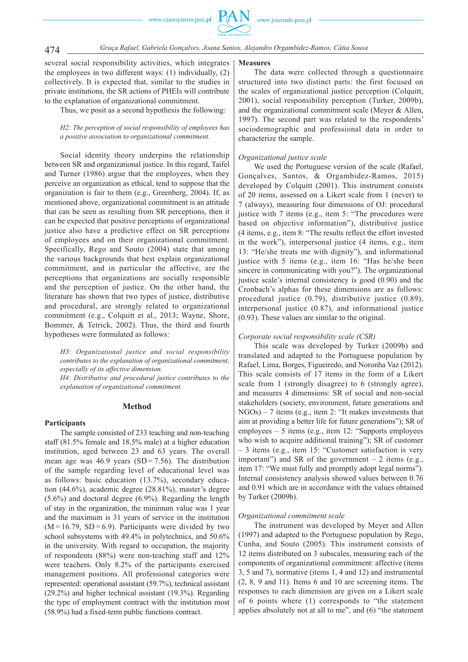474 *Graça Rafael, Gabriela Gonçalves, Joana Santos, Alejandro Orgambídez-Ramos, Cátia Sousa*

several social responsibility activities, which integrates the employees in two different ways: (1) individually, (2) collectively. It is expected that, similar to the studies in private institutions, the SR actions of PHEIs will contribute to the explanation of organizational commitment.

Thus, we posit as a second hypothesis the following:

## *H2: The perception of social responsibility of employees has a positive association to organizational commitment.*

Social identity theory underpins the relationship between SR and organizational justice. In this regard, Taifel and Turner (1986) argue that the employees, when they perceive an organization as ethical, tend to suppose that the organization is fair to them (e.g., Greenberg, 2004). If, as mentioned above, organizational commitment is an attitude that can be seen as resulting from SR perceptions, then it can be expected that positive perceptions of organizational justice also have a predictive effect on SR perceptions of employees and on their organizational commitment. Specifically, Rego and Souto (2004) state that among the various backgrounds that best explain organizational commitment, and in particular the affective, are the perceptions that organizations are socially responsible and the perception of justice. On the other hand, the literature has shown that two types of justice, distributive and procedural, are strongly related to organizational commitment (e.g., Colquitt et al., 2013; Wayne, Shore, Bommer, & Tetrick, 2002). Thus, the third and fourth hypotheses were formulated as follows:

*H3: Organizational justice and social responsibility contributes to the explanation of organizational commitment, especially of its affective dimension.*

*H4: Distributive and procedural justice contributes to the explanation of organizational commitment.*

# **Method**

#### **Participants**

The sample consisted of 233 teaching and non-teaching staff (81.5% female and 18.5% male) at a higher education institution, aged between 23 and 63 years. The overall mean age was  $46.9$  years  $(SD = 7.56)$ . The distribution of the sample regarding level of educational level was as follows: basic education  $(13.7%)$ , secondary education (44.6%), academic degree (28.81%), master's degree (5.6%) and doctoral degree (6.9%). Regarding the length of stay in the organization, the minimum value was 1 year and the maximum is 31 years of service in the institution  $(M = 16.79, SD = 6.9)$ . Participants were divided by two school subsystems with 49.4% in polytechnics, and 50.6% in the university. With regard to occupation, the majority of respondents (88%) were non-teaching staff and 12% were teachers. Only 8.2% of the participants exercised management positions. All professional categories were represented: operational assistant (59.7%), technical assistant (29.2%) and higher technical assistant (19.3%). Regarding the type of employment contract with the institution most (58.9%) had a fixed-term public functions contract.

#### **Measures**

The data were collected through a questionnaire structured into two distinct parts: the first focused on the scales of organizational justice perception (Colquitt, 2001), social responsibility perception (Turker, 2009b), and the organizational commitment scale (Meyer & Allen, 1997). The second part was related to the respondents' sociodemographic and professional data in order to characterize the sample.

# *Organizational justice scale*

We used the Portuguese version of the scale (Rafael, Gonçalves, Santos, & Orgambidez-Ramos, 2015) developed by Colquitt (2001). This instrument consists of 20 items, assessed on a Likert scale from 1 (never) to 7 (always), measuring four dimensions of OJ: procedural justice with 7 items (e.g., item 5: "The procedures were based on objective information"), distributive justice (4 items, e.g., item 8: "The results reflect the effort invested in the work"), interpersonal justice (4 items, e.g., item 13: "He/she treats me with dignity"), and informational justice with 5 items (e.g., item 16: "Has he/she been sincere in communicating with you?"). The organizational justice scale's internal consistency is good (0.90) and the Cronbach's alphas for these dimensions are as follows: procedural justice (0.79), distributive justice (0.89), interpersonal justice (0.87), and informational justice (0.93). These values are similar to the original.

# *Corporate social responsibility scale (CSR)*

This scale was developed by Turker (2009b) and translated and adapted to the Portuguese population by Rafael, Lima, Borges, Figueiredo, and Noronha Vaz (2012). This scale consists of 17 items in the form of a Likert scale from 1 (strongly disagree) to 6 (strongly agree), and measures 4 dimensions: SR of social and non-social stakeholders (society, environment, future generations and NGOs) – 7 items (e.g., item 2: "It makes investments that aim at providing a better life for future generations"); SR of employees – 5 items (e.g., item 12: "Supports employees who wish to acquire additional training"); SR of customer – 3 items (e.g., item 15: "Customer satisfaction is very important") and SR of the government  $-2$  items (e.g., item 17: "We must fully and promptly adopt legal norms"). Internal consistency analysis showed values between 0.76 and 0.91 which are in accordance with the values obtained by Turker (2009b).

#### *Organizational commitment scale*

The instrument was developed by Meyer and Allen (1997) and adapted to the Portuguese population by Rego, Cunha, and Souto (2005). This instrument consists of 12 items distributed on 3 subscales, measuring each of the components of organizational commitment: affective (items 3, 5 and 7), normative (items 1, 4 and 12) and instrumental (2, 8, 9 and 11). Items 6 and 10 are screening items. The responses to each dimension are given on a Likert scale of 6 points where (1) corresponds to "the statement applies absolutely not at all to me", and (6) "the statement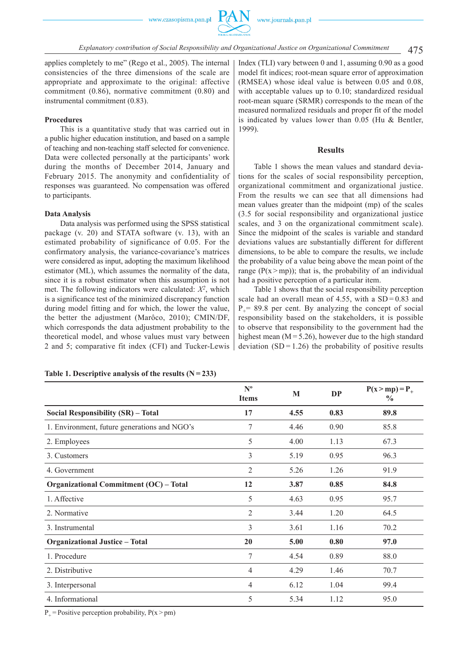

applies completely to me" (Rego et al., 2005). The internal consistencies of the three dimensions of the scale are appropriate and approximate to the original: affective commitment (0.86), normative commitment (0.80) and instrumental commitment (0.83).

#### **Procedures**

This is a quantitative study that was carried out in a public higher education institution, and based on a sample of teaching and non-teaching staff selected for convenience. Data were collected personally at the participants' work during the months of December 2014, January and February 2015. The anonymity and confidentiality of responses was guaranteed. No compensation was offered to participants.

#### **Data Analysis**

Data analysis was performed using the SPSS statistical package (v. 20) and STATA software (v. 13), with an estimated probability of significance of 0.05. For the confirmatory analysis, the variance-covariance's matrices were considered as input, adopting the maximum likelihood estimator (ML), which assumes the normality of the data, since it is a robust estimator when this assumption is not met. The following indicators were calculated: *X2*, which is a significance test of the minimized discrepancy function during model fitting and for which, the lower the value, the better the adjustment (Marôco, 2010); CMIN/DF, which corresponds the data adjustment probability to the theoretical model, and whose values must vary between 2 and 5; comparative fit index (CFI) and Tucker-Lewis Index (TLI) vary between 0 and 1, assuming 0.90 as a good model fit indices; root-mean square error of approximation (RMSEA) whose ideal value is between 0.05 and 0.08, with acceptable values up to 0.10; standardized residual root-mean square (SRMR) corresponds to the mean of the measured normalized residuals and proper fit of the model is indicated by values lower than 0.05 (Hu & Bentler, 1999).

#### **Results**

Table 1 shows the mean values and standard deviations for the scales of social responsibility perception, organizational commitment and organizational justice. From the results we can see that all dimensions had mean values greater than the midpoint (mp) of the scales (3.5 for social responsibility and organizational justice scales, and 3 on the organizational commitment scale). Since the midpoint of the scales is variable and standard deviations values are substantially different for different dimensions, to be able to compare the results, we include the probability of a value being above the mean point of the range ( $P(x>mp)$ ); that is, the probability of an individual had a positive perception of a particular item.

Table 1 shows that the social responsibility perception scale had an overall mean of 4.55, with a  $SD = 0.83$  and  $P_$  = 89.8 per cent. By analyzing the concept of social responsibility based on the stakeholders, it is possible to observe that responsibility to the government had the highest mean  $(M = 5.26)$ , however due to the high standard deviation  $(SD = 1.26)$  the probability of positive results

|                                               | $N^{\text{o}}$<br><b>Items</b> | $\mathbf{M}$ | <b>DP</b> | $P(x > mp) = P_+$<br>$\frac{6}{9}$ |
|-----------------------------------------------|--------------------------------|--------------|-----------|------------------------------------|
| Social Responsibility (SR) - Total            | 17                             | 4.55         | 0.83      | 89.8                               |
| 1. Environment, future generations and NGO's  | 7                              | 4.46         | 0.90      | 85.8                               |
| 2. Employees                                  | 5                              | 4.00         | 1.13      | 67.3                               |
| 3. Customers                                  | 3                              | 5.19         | 0.95      | 96.3                               |
| 4. Government                                 | $\overline{2}$                 | 5.26         | 1.26      | 91.9                               |
| <b>Organizational Commitment (OC) - Total</b> | 12                             | 3.87         | 0.85      | 84.8                               |
| 1. Affective                                  | 5                              | 4.63         | 0.95      | 95.7                               |
| 2. Normative                                  | $\overline{2}$                 | 3.44         | 1.20      | 64.5                               |
| 3. Instrumental                               | 3                              | 3.61         | 1.16      | 70.2                               |
| <b>Organizational Justice - Total</b>         | <b>20</b>                      | 5.00         | 0.80      | 97.0                               |
| 1. Procedure                                  | 7                              | 4.54         | 0.89      | 88.0                               |
| 2. Distributive                               | $\overline{4}$                 | 4.29         | 1.46      | 70.7                               |
| 3. Interpersonal                              | 4                              | 6.12         | 1.04      | 99.4                               |
| 4. Informational                              | 5                              | 5.34         | 1.12      | 95.0                               |

#### Table 1. Descriptive analysis of the results  $(N = 233)$

 $P_+$  = Positive perception probability,  $P(x > pm)$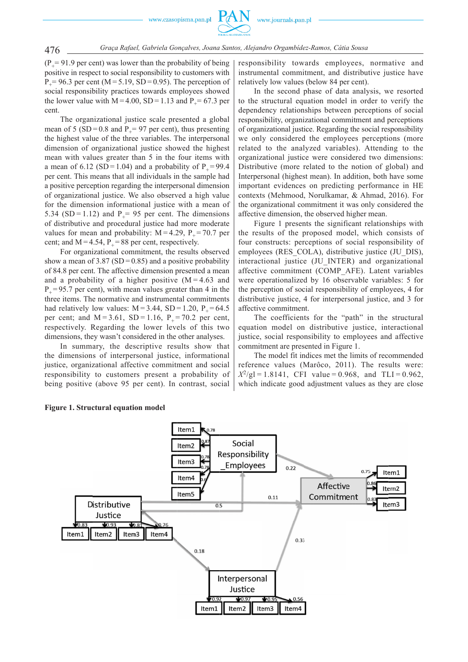$(P_+ = 91.9$  per cent) was lower than the probability of being positive in respect to social responsibility to customers with  $P_$  = 96.3 per cent (M = 5.19, SD = 0.95). The perception of social responsibility practices towards employees showed the lower value with  $M = 4.00$ ,  $SD = 1.13$  and  $P_ = 67.3$  per cent.

The organizational justice scale presented a global mean of 5 (SD = 0.8 and  $P_$  = 97 per cent), thus presenting the highest value of the three variables. The interpersonal dimension of organizational justice showed the highest mean with values greater than 5 in the four items with a mean of 6.12 (SD = 1.04) and a probability of  $P_+$  = 99.4 per cent. This means that all individuals in the sample had a positive perception regarding the interpersonal dimension of organizational justice. We also observed a high value for the dimension informational justice with a mean of 5.34 (SD = 1.12) and  $P = 95$  per cent. The dimensions of distributive and procedural justice had more moderate values for mean and probability:  $M = 4.29$ ,  $P<sub>+</sub> = 70.7$  per cent; and  $M = 4.54$ ,  $P_+ = 88$  per cent, respectively.

For organizational commitment, the results observed show a mean of 3.87 (SD =  $0.85$ ) and a positive probability of 84.8 per cent. The affective dimension presented a mean and a probability of a higher positive  $(M = 4.63$  and  $P_{+} = 95.7$  per cent), with mean values greater than 4 in the three items. The normative and instrumental commitments had relatively low values:  $M = 3.44$ ,  $SD = 1.20$ ,  $P<sub>+</sub> = 64.5$ per cent; and  $M = 3.61$ ,  $SD = 1.16$ ,  $P<sub>+</sub> = 70.2$  per cent, respectively. Regarding the lower levels of this two dimensions, they wasn't considered in the other analyses.

In summary, the descriptive results show that the dimensions of interpersonal justice, informational justice, organizational affective commitment and social responsibility to customers present a probability of being positive (above 95 per cent). In contrast, social responsibility towards employees, normative and instrumental commitment, and distributive justice have relatively low values (below 84 per cent).

In the second phase of data analysis, we resorted to the structural equation model in order to verify the dependency relationships between perceptions of social responsibility, organizational commitment and perceptions of organizational justice. Regarding the social responsibility we only considered the employees perceptions (more related to the analyzed variables). Attending to the organizational justice were considered two dimensions: Distributive (more related to the notion of global) and Interpersonal (highest mean). In addition, both have some important evidences on predicting performance in HE contexts (Mehmood, Norulkamar, & Ahmad, 2016). For the organizational commitment it was only considered the affective dimension, the observed higher mean.

Figure 1 presents the significant relationships with the results of the proposed model, which consists of four constructs: perceptions of social responsibility of employees (RES\_COLA), distributive justice (JU\_DIS), interactional justice (JU\_INTER) and organizational affective commitment (COMP\_AFE). Latent variables were operationalized by 16 observable variables: 5 for the perception of social responsibility of employees, 4 for distributive justice, 4 for interpersonal justice, and 3 for affective commitment.

The coefficients for the "path" in the structural equation model on distributive justice, interactional justice, social responsibility to employees and affective commitment are presented in Figure 1.

The model fit indices met the limits of recommended reference values (Marôco, 2011). The results were:  $X^2/gl = 1.8141$ , CFI value = 0.968, and TLI = 0.962, which indicate good adjustment values as they are close



#### **Figure 1. Structural equation model**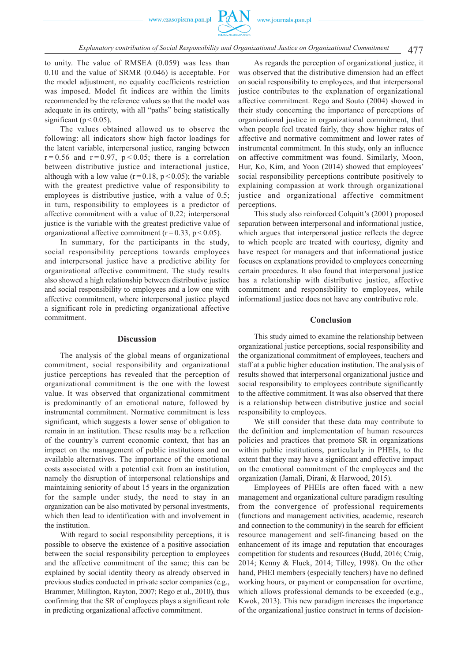

# 477 *Explanatory contribution of Social Responsibility and Organizational Justice on Organizational Commitment*

to unity. The value of RMSEA (0.059) was less than 0.10 and the value of SRMR (0.046) is acceptable. For the model adjustment, no equality coefficients restriction was imposed. Model fit indices are within the limits recommended by the reference values so that the model was adequate in its entirety, with all "paths" being statistically significant ( $p < 0.05$ ).

The values obtained allowed us to observe the following: all indicators show high factor loadings for the latent variable, interpersonal justice, ranging between  $r = 0.56$  and  $r = 0.97$ ,  $p < 0.05$ ; there is a correlation between distributive justice and interactional justice, although with a low value  $(r=0.18, p<0.05)$ ; the variable with the greatest predictive value of responsibility to employees is distributive justice, with a value of 0.5; in turn, responsibility to employees is a predictor of affective commitment with a value of 0.22; interpersonal justice is the variable with the greatest predictive value of organizational affective commitment ( $r = 0.33$ ,  $p < 0.05$ ).

In summary, for the participants in the study, social responsibility perceptions towards employees and interpersonal justice have a predictive ability for organizational affective commitment. The study results also showed a high relationship between distributive justice and social responsibility to employees and a low one with affective commitment, where interpersonal justice played a significant role in predicting organizational affective commitment.

#### **Discussion**

The analysis of the global means of organizational commitment, social responsibility and organizational justice perceptions has revealed that the perception of organizational commitment is the one with the lowest value. It was observed that organizational commitment is predominantly of an emotional nature, followed by instrumental commitment. Normative commitment is less significant, which suggests a lower sense of obligation to remain in an institution. These results may be a reflection of the country's current economic context, that has an impact on the management of public institutions and on available alternatives. The importance of the emotional costs associated with a potential exit from an institution, namely the disruption of interpersonal relationships and maintaining seniority of about 15 years in the organization for the sample under study, the need to stay in an organization can be also motivated by personal investments, which then lead to identification with and involvement in the institution.

With regard to social responsibility perceptions, it is possible to observe the existence of a positive association between the social responsibility perception to employees and the affective commitment of the same; this can be explained by social identity theory as already observed in previous studies conducted in private sector companies (e.g., Brammer, Millington, Rayton, 2007; Rego et al., 2010), thus confirming that the SR of employees plays a significant role in predicting organizational affective commitment.

As regards the perception of organizational justice, it was observed that the distributive dimension had an effect on social responsibility to employees, and that interpersonal justice contributes to the explanation of organizational affective commitment. Rego and Souto (2004) showed in their study concerning the importance of perceptions of organizational justice in organizational commitment, that when people feel treated fairly, they show higher rates of affective and normative commitment and lower rates of instrumental commitment. In this study, only an influence on affective commitment was found. Similarly, Moon, Hur, Ko, Kim, and Yoon (2014) showed that employees' social responsibility perceptions contribute positively to explaining compassion at work through organizational justice and organizational affective commitment perceptions.

This study also reinforced Colquitt's (2001) proposed separation between interpersonal and informational justice, which argues that interpersonal justice reflects the degree to which people are treated with courtesy, dignity and have respect for managers and that informational justice focuses on explanations provided to employees concerning certain procedures. It also found that interpersonal justice has a relationship with distributive justice, affective commitment and responsibility to employees, while informational justice does not have any contributive role.

#### **Conclusion**

This study aimed to examine the relationship between organizational justice perceptions, social responsibility and the organizational commitment of employees, teachers and staff at a public higher education institution. The analysis of results showed that interpersonal organizational justice and social responsibility to employees contribute significantly to the affective commitment. It was also observed that there is a relationship between distributive justice and social responsibility to employees.

We still consider that these data may contribute to the definition and implementation of human resources policies and practices that promote SR in organizations within public institutions, particularly in PHEIs, to the extent that they may have a significant and effective impact on the emotional commitment of the employees and the organization (Jamali, Dirani, & Harwood, 2015).

Employees of PHEIs are often faced with a new management and organizational culture paradigm resulting from the convergence of professional requirements (functions and management activities, academic, research and connection to the community) in the search for efficient resource management and self-financing based on the enhancement of its image and reputation that encourages competition for students and resources (Budd, 2016; Craig, 2014; Kenny & Fluck, 2014; Tilley, 1998). On the other hand, PHEI members (especially teachers) have no defined working hours, or payment or compensation for overtime, which allows professional demands to be exceeded (e.g., Kwok, 2013). This new paradigm increases the importance of the organizational justice construct in terms of decision-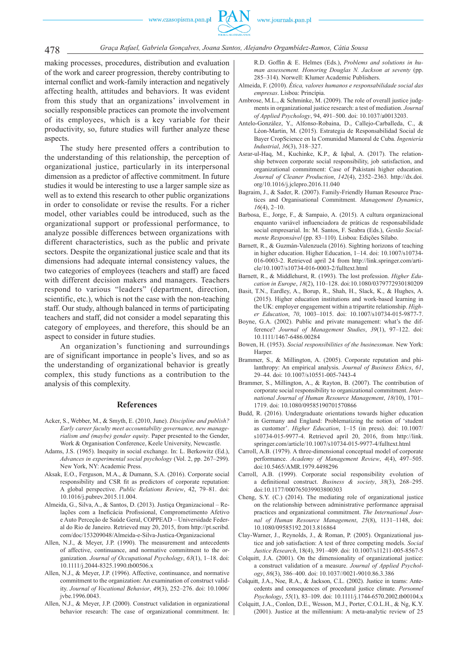

making processes, procedures, distribution and evaluation of the work and career progression, thereby contributing to internal conflict and work-family interaction and negatively affecting health, attitudes and behaviors. It was evident from this study that an organizations' involvement in socially responsible practices can promote the involvement of its employees, which is a key variable for their productivity, so, future studies will further analyze these aspects.

The study here presented offers a contribution to the understanding of this relationship, the perception of organizational justice, particularly in its interpersonal dimension as a predictor of affective commitment. In future studies it would be interesting to use a larger sample size as well as to extend this research to other public organizations in order to consolidate or revise the results. For a richer model, other variables could be introduced, such as the organizational support or professional performance, to analyze possible differences between organizations with different characteristics, such as the public and private sectors. Despite the organizational justice scale and that its dimensions had adequate internal consistency values, the two categories of employees (teachers and staff) are faced with different decision makers and managers. Teachers respond to various "leaders" (department, direction, scientific, etc.), which is not the case with the non-teaching staff. Our study, although balanced in terms of participating teachers and staff, did not consider a model separating this category of employees, and therefore, this should be an aspect to consider in future studies.

An organization's functioning and surroundings are of significant importance in people's lives, and so as the understanding of organizational behavior is greatly complex, this study functions as a contribution to the analysis of this complexity.

#### **References**

- Acker, S., Webber, M., & Smyth, E. (2010, June). *Discipline and publish? Early career faculty meet accountability governance, new managerialism and (maybe) gender equity*. Paper presented to the Gender, Work & Organisation Conference, Keele University, Newcastle.
- Adams, J.S. (1965). Inequity in social exchange. In: L. Berkowitz (Ed.), *Advances in experimental social psychology* (Vol. 2, pp. 267–299). New York, NY: Academic Press.
- Aksak, E.O., Ferguson, M.A., & Dumann, S.A. (2016). Corporate social responsibility and CSR fit as predictors of corporate reputation: A global perspective. *Public Relations Review*, 42, 79–81. doi: 10.1016/j.pubrev.2015.11.004.
- Almeida, G., Silva, A., & Santos, D. (2013). Justiça Organizacional Relações com a Ineficácia Profissional, Comprometimento Afetivo e Auto Perceção de Saúde Geral, COPPEAD – Universidade Federal do Rio de Janeiro. Retrieved may 20, 2015, from http://pt.scribd. com/doc/153209048/Almeida-e-Silva-Justica-Organizacional
- Allen, N.J., & Meyer, J.P. (1990). The measurement and antecedents of affective, continuance, and normative commitment to the organization. *Journal of Occupational Psychology*, *63*(1), 1–18. doi: 10.1111/j.2044-8325.1990.tb00506.x
- Allen, N.J., & Meyer, J.P. (1996). Affective, continuance, and normative commitment to the organization: An examination of construct validity. *Journal of Vocational Behavior*, *49*(3), 252–276. doi: 10.1006/ jvbe.1996.0043.
- Allen, N.J., & Meyer, J.P. (2000). Construct validation in organizational behavior research: The case of organizational commitment. In:

R.D. Goffin & E. Helmes (Eds.), *Problems and solutions in human assessement. Honoring Douglas N. Jackson at seventy* (pp. 285–314). Norwell: Klumer Academic Publishers.

- Almeida, F. (2010). *Ética, valores humanos e responsabilidade social das empresas*. Lisboa: Princípia.
- Ambrose, M.L., & Schminke, M. (2009). The role of overall justice judgments in organizational justice research: a test of mediation. *Journal of Applied Psychology*, 94, 491–500. doi: 10.1037/a0013203.
- Antelo-González, Y., Alfonso-Robaina, D., Callejo-Carballeda, C., & Léon-Martin, M. (2015). Estrategia de Responsabilidad Social de Bayer CropScience en la Comunidad Mamoral de Cuba. *Ingeniería Industrial*, *36*(3), 318–327.
- Asrar-ul-Haq, M., Kuchinke, K.P., & Iqbal, A. (2017). The relationship between corporate social responsibility, job satisfaction, and organizational commitment: Case of Pakistani higher education. *Journal of Cleaner Production*, *142*(4), 2352–2363*.* http://dx.doi. org/10.1016/j.jclepro.2016.11.040
- Bagraim, J., & Sader, R. (2007). Family-Friendly Human Resource Practices and Organisational Commitment. *Management Dynamics*, *16*(4), 2–10.
- Barbosa, E., Jorge, F., & Sampaio, A. (2015). A cultura organizacional enquanto variável influenciadora de práticas de responsabilidade social empresarial. In: M. Santos, F. Seabra (Eds.), *Gestão Socialmente Responsável* (pp. 83–110)*.* Lisboa: Edições Sílabo.
- Barnett, R., & Guzmán-Valenzuela (2016). Sighting horizons of teaching in higher education. Higher Education, 1–14. doi: 10.1007/s10734- 016-0003-2. Retrieved april 24 from http://link.springer.com/article/10.1007/s10734-016-0003-2/fulltext.html
- Barnett, R., & Middlehurst, R. (1993). The lost profession. *Higher Education in Europe*, *18*(2), 110–128. doi:10.1080/0379772930180209
- Basit, T.N., Eardley, A., Borup, R., Shah, H., Slack, K., & Hughes, A. (2015). Higher education institutions and work-based learning in the UK: employer engagement within a tripartite relationship. *Higher Education*, *70*, 1003–1015. doi: 10.1007/s10734-015-9877-7.
- Boyne, G.A. (2002). Public and private management: what's the difference? *Journal of Management Studies*, *39*(1), 97–122. doi: 10.1111/1467-6486.00284
- Bowen, H. (1953). *Social responsibilities of the businessman*. New York: Harper.
- Brammer, S., & Millington, A. (2005). Corporate reputation and philanthropy: An empirical analysis. *Journal of Business Ethics*, *61*, 29–44. doi: 10.1007/s10551-005-7443-4
- Brammer, S., Millington, A., & Rayton, B. (2007). The contribution of corporate social responsibility to organizational commitment. *International Journal of Human Resource Management*, *18(*10), 1701– 1719. doi: 10.1080/09585190701570866
- Budd, R. (2016). Undergraduate orientations towards higher education in Germany and England: Problematizing the notion of 'student as customer'. *Higher Education*, 1–15 (in press). doi: 10.1007/ s10734-015-9977-4. Retrieved april 20, 2016, from http://link. springer.com/article/10.1007/s10734-015-9977-4/fulltext.html
- Carroll, A.B. (1979). A three-dimensional conceptual model of corporate performance. *Academy of Management Review*, *4*(4), 497–505. doi:10.5465/AMR.1979.4498296
- Carroll, A.B. (1999). Corporate social responsibility evolution of a definitional construct. *Business & society*, 38(3), 268-295. doi:10.1177/000765039903800303
- Cheng, S.Y. (C.) (2014). The mediating role of organizational justice on the relationship between administrative performance appraisal practices and organizational commitment. *The International Journal of Human Resource Management*, *25*(8), 1131–1148, doi: 10.1080/09585192.2013.816864
- Clay-Warner, J., Reynolds, J., & Roman, P. (2005). Organizational justice and job satisfaction: A test of three competing models. *Social Justice Research*, 18(4), 391–409. doi: 10.1007/s11211-005-8567-5
- Colquitt, J.A. (2001). On the dimensionality of organizational justice: a construct validation of a measure. *Journal of Applied Psychology*, *86*(3), 386–400. doi: 10.1037//0021-9010.86.3.386
- Colquitt, J.A., Noe, R.A., & Jackson, C.L. (2002). Justice in teams: Antecedents and consequences of procedural justice climate. *Personnel Psychology*, *55*(1), 83–109. doi: 10.1111/j.1744-6570.2002.tb00104.x
- Colquitt, J.A., Conlon, D.E., Wesson, M.J., Porter, C.O.L.H., & Ng, K.Y. (2001). Justice at the millennium: A meta-analytic review of 25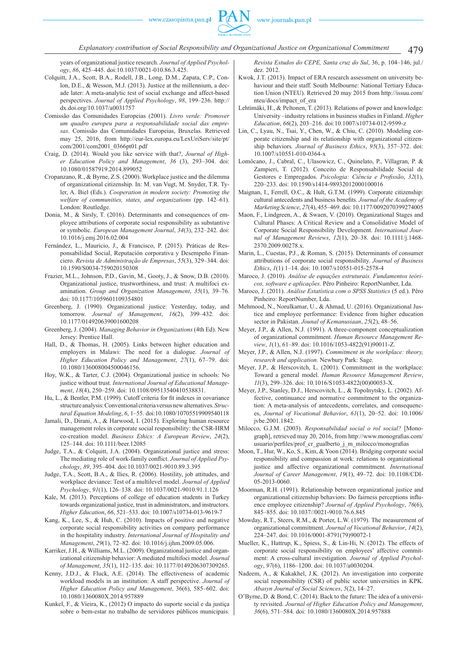years of organizational justice research. *Journal of Applied Psychology*, *86*, 425–445. doi:10.1037/0021-010.86.3.425.

- Colquitt, J.A., Scott, B.A., Rodell, J.B., Long, D.M., Zapata, C.P., Conlon, D.E., & Wesson, M.J. (2013). Justice at the millennium, a decade later: A meta-analytic test of social exchange and affect-based perspectives. *Journal of Applied Psychology*, *98*, 199–236. http:// dx.doi.org/10.1037/a0031757
- Comissão das Comunidades Europeias (2001). *Livro verde: Promover um quadro europeu para a responsabilidade social das empresas*. Comissão das Comunidades Europeias, Bruxelas. Retrieved may 25, 2016, from http://eur-lex.europa.eu/LexUriServ/site/pt/ com/2001/com2001\_0366pt01.pdf
- Craig, D. (2014). Would you like service with that?, *Journal of Higher Education Policy and Management*, *36* (3), 293–304. doi: 10.1080/01587919.2014.899052
- Cropanzano, R., & Byrne, Z.S. (2000). Workplace justice and the dilemma of organizational citizenship. In: M. van Vugt, M. Snyder, T.R. Tyler, A. Biel (Eds.). *Cooperation in modern society: Promoting the welfare of communities, states, and organizations* (pp. 142–61). London: Routledge.
- Donia, M., & Sirsly, T. (2016). Determinants and consequences of employee attributions of corporate social responsibility as substantive or symbolic. *European Management Journal*, *34*(3), 232–242. doi: 10.1016/j.emj.2016.02.004
- Fernández, L., Mauricio, J., & Francisco, P. (2015). Práticas de Responsabilidad Social, Reputación corporativa y Desempeño Financiero. *Revista de Administração de Empresas*, *55*(3), 329–344. doi: 10.1590/S0034-759020150308
- Frazier, M.L., Johnson, P.D., Gavin, M., Gooty, J., & Snow, D.B. (2010). Organizational justice, trustworthiness, and trust: A multifoci examination. *Group and Organization Management*, *35*(1), 39–76. doi: 10.1177/1059601109354801
- Greenberg, J. (1990). Organizational justice: Yesterday, today, and tomorrow. *Journal of Management*, *16*(2), 399–432. doi: 10.1177/014920639001600208
- Greenberg, J. (2004). *Managing Behavior in Organizations* (4th Ed). New Jersey: Prentice Hall.
- Hall, D., & Thomas, H. (2005). Links between higher education and employers in Malawi: The need for a dialogue. *Journal of Higher Education Policy and Management*, *27*(1), 67–79. doi: 10.1080/136008004500046156.
- Hoy, W.K., & Tarter, C.J. (2004). Organizational justice in schools: No justice without trust. *International Journal of Educational Management*, *18*(4), 250–259. doi: 10.1108/09513540410538831.
- Hu, L., & Bentler, P.M. (1999). Cutoff criteria for fit indexes in covariance structure analysis: Conventional criteria versus new alternatives. *Structural Equation Modeling*, *6*, 1–55. doi:10.1080/10705519909540118
- Jamali, D., Dirani, A., & Harwood, I. (2015). Exploring human resource management roles in corporate social responsibility: the CSR-HRM co-creation model. *Business Ethics: A European Review*, *24*(2), 125–144. doi: 10.1111/beer.12085
- Judge, T.A., & Colquitt, J.A. (2004). Organizational justice and stress: The mediating role of work-family conflict. *Journal of Applied Psychology*, *89*, 395–404. doi:10.1037/0021-9010.89.3.395
- Judge, T.A., Scott, B.A., & Ilies, R. (2006). Hostility, job attitudes, and workplace deviance: Test of a multilevel model. *Journal of Applied Psychology*, *91*(1), 126–138. doi: 10.1037/0021-9010.91.1.126
- Kale, M. (2013). Perceptions of college of education students in Turkey towards organizational justice, trust in administrators, and instructors. *Higher Education*, *66*, 521–533. doi: 10.1007/s10734-013-9619-7
- Kang, K., Lee, S., & Huh, C. (2010). Impacts of positive and negative corporate social responsibility activities on company performance in the hospitality industry. *International Journal of Hospitality and Management*, *29*(1), 72–82. doi: 10.1016/j.ijhm.2009.05.006.
- Karriker, J.H., & Williams, M.L. (2009). Organizational justice and organizational citizenship behavior: A mediated multifoci model. *Journal of Management*, *35*(1), 112–135. doi: 10.1177/0149206307309265.
- Kenny, J.D.J., & Fluck, A.E. (2014). The effectiveness of academic workload models in an institution: A staff perspective. *Journal of Higher Education Policy and Management*, 36(6), 585–602. doi: 10.1080/1360080X.2014.957889
- Kunkel, F., & Vieira, K., (2012) O impacto do suporte social e da justiça sobre o bem-estar no trabalho de servidores públicos municipais.

*Revista Estudos do CEPE, Santa cruz do Sul*, 36, p. 104–146, jul./ dez. 2012.

- Kwok, J.T. (2013). Impact of ERA research assessment on university behaviour and their staff. South Melbourne: National Tertiary Education Union (NTEU). Retrieved 20 may 2015 from http://issuu.com/ nteu/docs/impact\_of\_era
- Lehtimäki, H., & Peltonen, T. (2013). Relations of power and knowledge: University –industry relations in business studies in Finland. *Higher Education*, *66*(2), 203–216. doi:10.1007/s10734-012-9599-z
- Lin, C., Lyau, N., Tsai, Y., Chen, W., & Chiu, C. (2010). Modeling corporate citizenship and its relationship with organizational citizenship behaviors*. Journal of Business Ethics*, *95*(3), 357–372. doi: 10.1007/s10551-010-0364-x
- Lomôcano, J., Cabral, C., Ulasowicz, C., Quinelato, P., Villagran, P. & Zampieri, T. (2012). Conceito de Responsabilidade Social de Gestores e Empregados. Psicologia: Ciência e Profissão, 32(1), 220–233. doi: 10.1590/s1414-98932012000100016
- Maignan, I., Ferrell, O.C., & Hult, G.T.M. (1999). Corporate citizenship: cultural antecedents and business benefits. *Journal of the Academy of Marketing Science*, *27*(4), 455–469. doi: 10.1177/0092070399274005
- Maon, F., Lindgreen, A., & Swaen, V. (2010). Organizational Stages and Cultural Phases: A Critical Review and a Consolidative Model of Corporate Social Responsibility Development. *International Journal of Management Reviews*, *12*(1), 20–38. doi: 10.1111/j.1468- 2370.2009.00278.x.
- Marin, L., Cuestas, P.J., & Roman, S. (2015). Determinants of consumer attributions of corporate social responsibility. *Journal of Business Ethics*, *1*(1) 1–14. doi: 10.1007/s10551-015-2578-4
- Maroco, J. (2010). *Análise de equações estruturais. Fundamentos teóricos, software e aplicações*. Pêro Pinheiro: ReportNumber, Lda.
- Maroco, J. (2011). *Análise Estatística com o SPSS Statistics* (5 ed.). Pêro Pinheiro: ReportNumber, Lda.
- Mehmood, N., Norulkamar, U., & Ahmad, U. (2016). Organizational Justice and employee performance: Evidence from higher education sector in Pakistan. *Jounal of Kemanusiaan*, *25*(2), 48–56.
- Meyer, J.P., & Allen, N.J. (1991). A three-component conceptualization of organizational commitment. *Human Resource Management Review*, *1*(1), 61–89. doi: 10.1016/1053-4822(91)90011-Z.
- Meyer, J.P., & Allen, N.J. (1997). *Commitment in the workplace: theory, research and application.* Newbury Park: Sage.
- Meyer, J.P., & Herscovitch, L. (2001). Commitment in the workplace: Toward a general model. *Human Resource Management Review*, *11*(3), 299–326. doi: 10.1016/S1053-4822(00)00053-X.
- Meyer, J.P., Stanley, D.J., Herscovitch, L., & Topolnytsky, L. (2002). Affective, continuance and normative commitment to the organization: A meta-analysis of antecedents, correlates, and consequences, *Journal of Vocational Behavior*, *61*(1), 20–52. doi: 10.1006/ ivbe.2001.1842
- Milocco, G.J.M. (2003). *Responsabilidad social o rol social?* [Monograph], retrieved may 20, 2016, from http://www.monografias.com/ usuario/perfiles/prof cr\_gualberto\_j\_m\_milocco/monografias
- Moon, T., Hur, W., Ko, S., Kim, & Yoon (2014). Bridging corporate social responsibility and compassion at work: relations to organizational justice and affective organizational commitment. *International Journal of Career Management*, *19*(1), 49–72. doi: 10.1108/CDI-05-2013-0060.
- Moorman, R.H. (1991). Relationship between organizational justice and organizational citizenship behaviors: Do fairness perceptions influence employee citizenship? *Journal of Applied Psychology*, *76*(6), 845–855. doi: 10.1037//0021-9010.76.6.845
- Mowday, R.T., Steers, R.M., & Porter, L.W. (1979). The measurement of organizational commitment. *Journal of Vocational Behavior*, *14*(2), 224–247. doi: 10.1016/0001-8791(79)90072-1
- Mueller, K., Hattrup, K., Spiess, S., & Lin-Hi, N. (2012). The effects of corporate social responsibility on employees' affective commitment: A cross-cultural investigation. *Journal of Applied Psychology*, *97*(6), 1186–1200. doi: 10.1037/a0030204.
- Nadeem, A., & Kakakhel, J.K. (2012). An investigation into corporate social responsibility (CSR) of public sector universities in KPK. *Abasyn Journal of Social Sciences*, *5*(2), 14–27.
- O'Byrne, D. & Bond, C. (2014). Back to the future: The idea of a university revisited. *Journal of Higher Education Policy and Management*, *36*(6), 571–584. doi: 10.1080/1360080X.2014.957888